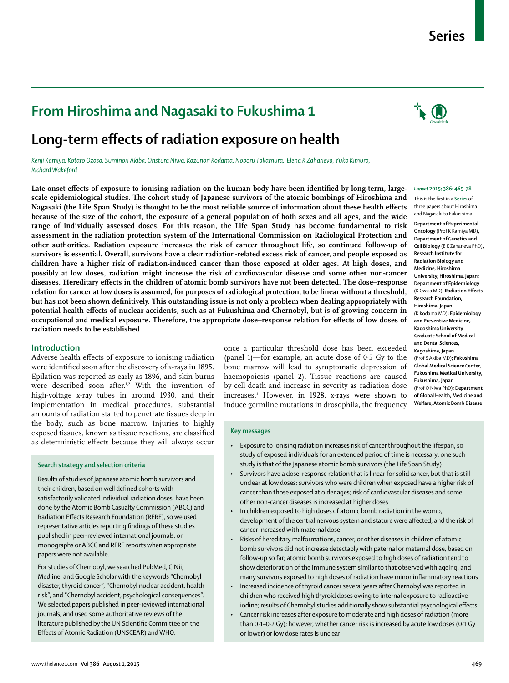# **From Hiroshima and Nagasaki to Fukushima 1**

# Long-term effects of radiation exposure on health

*Kenji Kamiya, Kotaro Ozasa, Suminori Akiba, Ohstura Niwa, Kazunori Kodama, Noboru Takamura, Elena K Zaharieva, Yuko Kimura, Richard Wakeford* 

Late-onset effects of exposure to ionising radiation on the human body have been identified by long-term, large**scale epidemiological studies. The cohort study of Japanese survivors of the atomic bombings of Hiroshima and**  Nagasaki (the Life Span Study) is thought to be the most reliable source of information about these health effects **because of the size of the cohort, the exposure of a general population of both sexes and all ages, and the wide range of individually assessed doses. For this reason, the Life Span Study has become fundamental to risk assessment in the radiation protection system of the International Commission on Radiological Protection and other authorities. Radiation exposure increases the risk of cancer throughout life, so continued follow-up of survivors is essential. Overall, survivors have a clear radiation-related excess risk of cancer, and people exposed as children have a higher risk of radiation-induced cancer than those exposed at older ages. At high doses, and possibly at low doses, radiation might increase the risk of cardiovascular disease and some other non-cancer** diseases. Hereditary effects in the children of atomic bomb survivors have not been detected. The dose–response **relation for cancer at low doses is assumed, for purposes of radiological protection, to be linear without a threshold,**  but has not been shown definitively. This outstanding issue is not only a problem when dealing appropriately with potential health effects of nuclear accidents, such as at Fukushima and Chernobyl, but is of growing concern in occupational and medical exposure. Therefore, the appropriate dose–response relation for effects of low doses of **radiation needs to be established.**

# **Introduction**

Adverse health effects of exposure to ionising radiation were identified soon after the discovery of x-rays in 1895. Epilation was reported as early as 1896, and skin burns were described soon after.<sup>1,2</sup> With the invention of high-voltage x-ray tubes in around 1930, and their implementation in medical procedures, substantial amounts of radiation started to penetrate tissues deep in the body, such as bone marrow. Injuries to highly exposed tissues, known as tissue reactions, are classified as deterministic effects because they will always occur

#### **Search strategy and selection criteria**

Results of studies of Japanese atomic bomb survivors and their children, based on well defined cohorts with satisfactorily validated individual radiation doses, have been done by the Atomic Bomb Casualty Commission (ABCC) and Radiation Effects Research Foundation (RERF), so we used representative articles reporting findings of these studies published in peer-reviewed international journals, or monographs or ABCC and RERF reports when appropriate papers were not available.

For studies of Chernobyl, we searched PubMed, CiNii, Medline, and Google Scholar with the keywords "Chernobyl disaster, thyroid cancer", "Chernobyl nuclear accident, health risk", and "Chernobyl accident, psychological consequences". We selected papers published in peer-reviewed international journals, and used some authoritative reviews of the literature published by the UN Scientific Committee on the Effects of Atomic Radiation (UNSCEAR) and WHO.

once a particular threshold dose has been exceeded (panel 1)—for example, an acute dose of 0·5 Gy to the bone marrow will lead to symptomatic depression of haemopoiesis (panel 2). Tissue reactions are caused by cell death and increase in severity as radiation dose increases.3 However, in 1928, x-rays were shown to induce germline mutations in drosophila, the frequency

#### *Lancet* **2015; 386: 469–78**

This is the fi rst in a **Series** of three papers about Hiroshima and Nagasaki to Fukushima

**Department of Experimental Oncology** (Prof K Kamiya MD)**, Department of Genetics and Cell Biology** (E K Zaharieva PhD)**, Research Institute for Radiation Biology and Medicine, Hiroshima University, Hiroshima, Japan; Department of Epidemiology (**K Ozasa MD)**, Radiation Eff ects Research Foundation, Hiroshima, Japan**  (K Kodama MD)**; Epidemiology and Preventive Medicine, Kagoshima University Graduate School of Medical and Dental Sciences, Kagoshima, Japan**  (Prof S Akiba MD)**; Fukushima Global Medical Science Center, Fukushima Medical University, Fukushima, Japan**  (Prof O Niwa PhD)**; Department of Global Health, Medicine and Welfare, Atomic Bomb Disease**

# **Key messages**

- Exposure to ionising radiation increases risk of cancer throughout the lifespan, so study of exposed individuals for an extended period of time is necessary; one such study is that of the Japanese atomic bomb survivors (the Life Span Study)
- Survivors have a dose–response relation that is linear for solid cancer, but that is still unclear at low doses; survivors who were children when exposed have a higher risk of cancer than those exposed at older ages; risk of cardiovascular diseases and some other non-cancer diseases is increased at higher doses
- In children exposed to high doses of atomic bomb radiation in the womb, development of the central nervous system and stature were affected, and the risk of cancer increased with maternal dose
- Risks of hereditary malformations, cancer, or other diseases in children of atomic bomb survivors did not increase detectably with paternal or maternal dose, based on follow-up so far; atomic bomb survivors exposed to high doses of radiation tend to show deterioration of the immune system similar to that observed with ageing, and many survivors exposed to high doses of radiation have minor inflammatory reactions
- Increased incidence of thyroid cancer several years after Chernobyl was reported in children who received high thyroid doses owing to internal exposure to radioactive iodine; results of Chernobyl studies additionally show substantial psychological effects
- Cancer risk increases after exposure to moderate and high doses of radiation (more than 0·1–0·2 Gy); however, whether cancer risk is increased by acute low doses (0·1 Gy or lower) or low dose rates is unclear

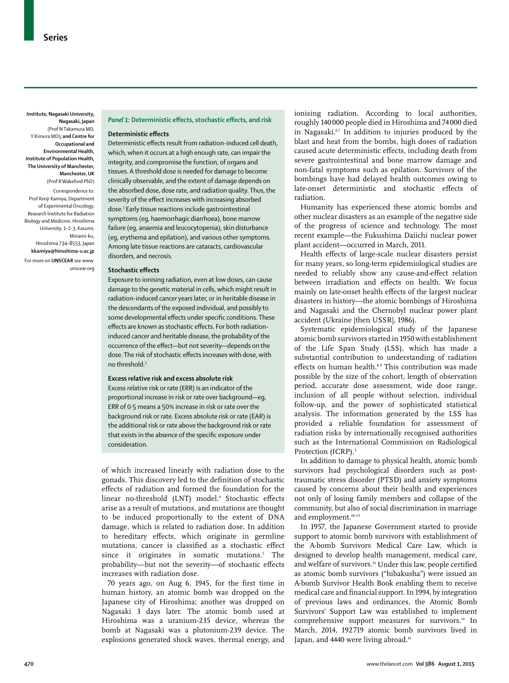**Institute, Nagasaki University, Nagasaki, Japan**  (Prof N Takamura MD, Y Kimura MD)**; and Centre for Occupational and Environmental Health, Institute of Population Health, The University of Manchester, Manchester, UK**  (Prof R Wakeford PhD) Correspondence to: Prof Kenji Kamiya, Department of Experimental Oncology, Research Institute for Radiation Biology and Medicine, Hiroshima University, 1–2-3, Kasumi, Minami-ku, Hiroshima 734–8553, Japan **kkamiya@hiroshima-u.ac.jp** For more on **UNSCEAR** see www. unscear.org

# **Panel 1:** Deterministic effects, stochastic effects, and risk

### **Deterministic effects**

Deterministic effects result from radiation-induced cell death, which, when it occurs at a high enough rate, can impair the integrity, and compromise the function, of organs and tissues. A threshold dose is needed for damage to become clinically observable, and the extent of damage depends on the absorbed dose, dose rate, and radiation quality. Thus, the severity of the effect increases with increasing absorbed dose.3 Early tissue reactions include gastrointestinal symptoms (eg, haemorrhagic diarrhoea), bone marrow failure (eg, anaemia and leucocytopenia), skin disturbance (eg, erythema and epilation), and various other symptoms. Among late tissue reactions are cataracts, cardiovascular disorders, and necrosis.

#### **Stochastic effects**

Exposure to ionising radiation, even at low doses, can cause damage to the genetic material in cells, which might result in radiation-induced cancer years later, or in heritable disease in the descendants of the exposed individual, and possibly to some developmental effects under specific conditions. These effects are known as stochastic effects. For both radiationinduced cancer and heritable disease, the probability of the occurrence of the effect-but not severity-depends on the dose. The risk of stochastic effects increases with dose, with no threshold.3

# **Excess relative risk and excess absolute risk**

Excess relative risk or rate (ERR) is an indicator of the proportional increase in risk or rate over background—eg, ERR of 0·5 means a 50% increase in risk or rate over the background risk or rate. Excess absolute risk or rate (EAR) is the additional risk or rate above the background risk or rate that exists in the absence of the specific exposure under consideration.

of which increased linearly with radiation dose to the gonads. This discovery led to the definition of stochastic effects of radiation and formed the foundation for the linear no-threshold (LNT) model.<sup>4</sup> Stochastic effects arise as a result of mutations, and mutations are thought to be induced proportionally to the extent of DNA damage, which is related to radiation dose. In addition to hereditary effects, which originate in germline mutations, cancer is classified as a stochastic effect since it originates in somatic mutations.<sup>5</sup> The probability—but not the severity—of stochastic effects increases with radiation dose.

70 years ago, on Aug 6, 1945, for the first time in human history, an atomic bomb was dropped on the Japanese city of Hiroshima; another was dropped on Nagasaki 3 days later. The atomic bomb used at Hiroshima was a uranium-235 device, whereas the bomb at Nagasaki was a plutonium-239 device. The explosions generated shock waves, thermal energy, and ionising radiation. According to local authorities, roughly 140 000 people died in Hiroshima and 74 000 died in Nagasaki.<sup>6,7</sup> In addition to injuries produced by the blast and heat from the bombs, high doses of radiation caused acute deterministic effects, including death from severe gastrointestinal and bone marrow damage and non-fatal symptoms such as epilation. Survivors of the bombings have had delayed health outcomes owing to late-onset deterministic and stochastic effects of radiation.

Humanity has experienced these atomic bombs and other nuclear disasters as an example of the negative side of the progress of science and technology. The most recent example—the Fukushima Daiichi nuclear power plant accident—occurred in March, 2011.

Health effects of large-scale nuclear disasters persist for many years, so long-term epidemiological studies are needed to reliably show any cause-and-effect relation between irradiation and effects on health. We focus mainly on late-onset health effects of the largest nuclear disasters in history—the atomic bombings of Hiroshima and Nagasaki and the Chernobyl nuclear power plant accident (Ukraine [then USSR], 1986).

Systematic epidemiological study of the Japanese atomic bomb survivors started in 1950 with establishment of the Life Span Study (LSS), which has made a substantial contribution to understanding of radiation effects on human health.<sup>8,9</sup> This contribution was made possible by the size of the cohort, length of observation period, accurate dose assessment, wide dose range, inclusion of all people without selection, individual follow-up, and the power of sophisticated statistical analysis. The information generated by the LSS has provided a reliable foundation for assessment of radiation risks by internationally recognised authorities such as the International Commission on Radiological Protection (ICRP).<sup>3</sup>

In addition to damage to physical health, atomic bomb survivors had psychological disorders such as posttraumatic stress disorder (PTSD) and anxiety symptoms caused by concerns about their health and experiences not only of losing family members and collapse of the community, but also of social discrimination in marriage and employment.<sup>10-13</sup>

In 1957, the Japanese Government started to provide support to atomic bomb survivors with establishment of the A-bomb Survivors Medical Care Law, which is designed to develop health management, medical care, and welfare of survivors.<sup>14</sup> Under this law, people certified as atomic bomb survivors ("hibakusha") were issued an A-bomb Survivor Health Book enabling them to receive medical care and financial support. In 1994, by integration of previous laws and ordinances, the Atomic Bomb Survivors' Support Law was established to implement comprehensive support measures for survivors.<sup>14</sup> In March, 2014, 192719 atomic bomb survivors lived in Japan, and 4440 were living abroad.<sup>14</sup>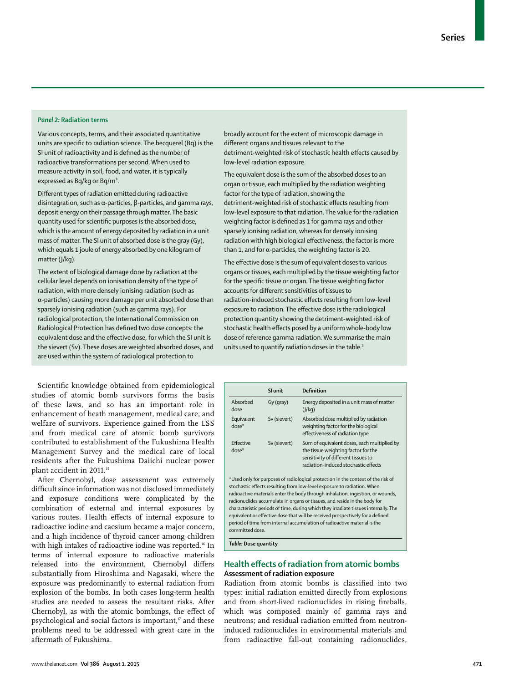# *Panel 2:* **Radiation terms**

Various concepts, terms, and their associated quantitative units are specific to radiation science. The becquerel (Bq) is the SI unit of radioactivity and is defined as the number of radioactive transformations per second. When used to measure activity in soil, food, and water, it is typically expressed as Bq/kg or Bq/m<sup>3</sup>.

Different types of radiation emitted during radioactive disintegration, such as α-particles, β-particles, and gamma rays, deposit energy on their passage through matter. The basic quantity used for scientific purposes is the absorbed dose, which is the amount of energy deposited by radiation in a unit mass of matter. The SI unit of absorbed dose is the gray (Gy), which equals 1 joule of energy absorbed by one kilogram of matter (J/kg).

The extent of biological damage done by radiation at the cellular level depends on ionisation density of the type of radiation, with more densely ionising radiation (such as α-particles) causing more damage per unit absorbed dose than sparsely ionising radiation (such as gamma rays). For radiological protection, the International Commission on Radiological Protection has defined two dose concepts: the equivalent dose and the effective dose, for which the SI unit is the sievert (Sv). These doses are weighted absorbed doses, and are used within the system of radiological protection to

Scientific knowledge obtained from epidemiological studies of atomic bomb survivors forms the basis of these laws, and so has an important role in enhancement of heath management, medical care, and welfare of survivors. Experience gained from the LSS and from medical care of atomic bomb survivors contributed to establishment of the Fukushima Health Management Survey and the medical care of local residents after the Fukushima Daiichi nuclear power plant accident in 2011.<sup>15</sup>

After Chernobyl, dose assessment was extremely difficult since information was not disclosed immediately and exposure conditions were complicated by the combination of external and internal exposures by various routes. Health effects of internal exposure to radioactive iodine and caesium became a major concern, and a high incidence of thyroid cancer among children with high intakes of radioactive iodine was reported.<sup>16</sup> In terms of internal exposure to radioactive materials released into the environment, Chernobyl differs substantially from Hiroshima and Nagasaki, where the exposure was predominantly to external radiation from explosion of the bombs. In both cases long-term health studies are needed to assess the resultant risks. After Chernobyl, as with the atomic bombings, the effect of psychological and social factors is important, $\mathbb{I}^7$  and these problems need to be addressed with great care in the aftermath of Fukushima.

broadly account for the extent of microscopic damage in different organs and tissues relevant to the detriment-weighted risk of stochastic health effects caused by low-level radiation exposure.

The equivalent dose is the sum of the absorbed doses to an organ or tissue, each multiplied by the radiation weighting factor for the type of radiation, showing the detriment-weighted risk of stochastic effects resulting from low-level exposure to that radiation. The value for the radiation weighting factor is defined as 1 for gamma rays and other sparsely ionising radiation, whereas for densely ionising radiation with high biological effectiveness, the factor is more than 1, and for α-particles, the weighting factor is 20.

The effective dose is the sum of equivalent doses to various organs or tissues, each multiplied by the tissue weighting factor for the specific tissue or organ. The tissue weighting factor accounts for different sensitivities of tissues to radiation-induced stochastic effects resulting from low-level exposure to radiation. The effective dose is the radiological protection quantity showing the detriment-weighted risk of stochastic health effects posed by a uniform whole-body low dose of reference gamma radiation. We summarise the main units used to quantify radiation doses in the table.<sup>3</sup>

|                       | SI unit      | <b>Definition</b>                                                                                                                                                                                                                                                                                                                                                                                                                                                                                                                                                               |
|-----------------------|--------------|---------------------------------------------------------------------------------------------------------------------------------------------------------------------------------------------------------------------------------------------------------------------------------------------------------------------------------------------------------------------------------------------------------------------------------------------------------------------------------------------------------------------------------------------------------------------------------|
| Absorbed<br>dose      | Gy (gray)    | Energy deposited in a unit mass of matter<br>(J/kg)                                                                                                                                                                                                                                                                                                                                                                                                                                                                                                                             |
| Equivalent<br>$dose*$ | Sv (sievert) | Absorbed dose multiplied by radiation<br>weighting factor for the biological<br>effectiveness of radiation type                                                                                                                                                                                                                                                                                                                                                                                                                                                                 |
| Effective<br>$dose*$  | Sv (sievert) | Sum of equivalent doses, each multiplied by<br>the tissue weighting factor for the<br>sensitivity of different tissues to<br>radiation-induced stochastic effects                                                                                                                                                                                                                                                                                                                                                                                                               |
| committed dose.       |              | *Used only for purposes of radiological protection in the context of the risk of<br>stochastic effects resulting from low-level exposure to radiation. When<br>radioactive materials enter the body through inhalation, ingestion, or wounds,<br>radionuclides accumulate in organs or tissues, and reside in the body for<br>characteristic periods of time, during which they irradiate tissues internally. The<br>equivalent or effective dose that will be received prospectively for a defined<br>period of time from internal accumulation of radioactive material is the |

*Table:* **Dose quantity**

# **Health effects of radiation from atomic bombs Assessment of radiation exposure**

Radiation from atomic bombs is classified into two types: initial radiation emitted directly from explosions and from short-lived radionuclides in rising fireballs, which was composed mainly of gamma rays and neutrons; and residual radiation emitted from neutroninduced radionuclides in environmental materials and from radioactive fall-out containing radionuclides,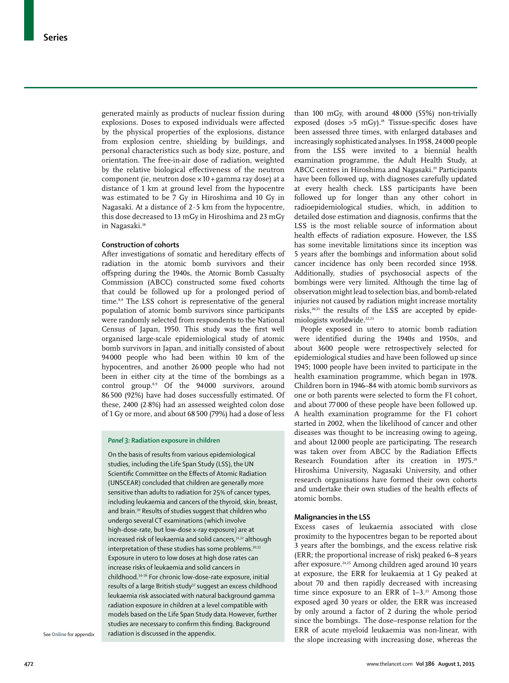generated mainly as products of nuclear fission during explosions. Doses to exposed individuals were affected by the physical properties of the explosions, distance from explosion centre, shielding by buildings, and personal characteristics such as body size, posture, and orientation. The free-in-air dose of radiation, weighted by the relative biological effectiveness of the neutron component (ie, neutron dose × 10 + gamma ray dose) at a distance of 1 km at ground level from the hypocentre was estimated to be 7 Gy in Hiroshima and 10 Gy in Nagasaki. At a distance of 2·5 km from the hypocentre, this dose decreased to 13 mGy in Hiroshima and 23 mGy in Nagasaki.<sup>18</sup>

## **Construction of cohorts**

After investigations of somatic and hereditary effects of radiation in the atomic bomb survivors and their offspring during the 1940s, the Atomic Bomb Casualty Commission (ABCC) constructed some fixed cohorts that could be followed up for a prolonged period of time.<sup>8,9</sup> The LSS cohort is representative of the general population of atomic bomb survivors since participants were randomly selected from respondents to the National Census of Japan, 1950. This study was the first well organised large-scale epidemiological study of atomic bomb survivors in Japan, and initially consisted of about 94 000 people who had been within 10 km of the hypocentres, and another 26 000 people who had not been in either city at the time of the bombings as a control group.<sup>8,9</sup> Of the 94000 survivors, around 86 500 (92%) have had doses successfully estimated. Of these, 2400 (2·8%) had an assessed weighted colon dose of 1 Gy or more, and about 68 500 (79%) had a dose of less

#### *Panel 3:* **Radiation exposure in children**

On the basis of results from various epidemiological studies, including the Life Span Study (LSS), the UN Scientific Committee on the Effects of Atomic Radiation (UNSCEAR) concluded that children are generally more sensitive than adults to radiation for 25% of cancer types, including leukaemia and cancers of the thyroid, skin, breast, and brain.<sup>30</sup> Results of studies suggest that children who undergo several CT examinations (which involve high-dose-rate, but low-dose x-ray exposure) are at increased risk of leukaemia and solid cancers,<sup>31,32</sup> although interpretation of these studies has some problems.<sup>30,33</sup> Exposure in utero to low doses at high dose rates can increase risks of leukaemia and solid cancers in childhood.34–36 For chronic low-dose-rate exposure, initial results of a large British study<sup>37</sup> suggest an excess childhood leukaemia risk associated with natural background gamma radiation exposure in children at a level compatible with models based on the Life Span Study data.However, further studies are necessary to confirm this finding. Background See **Online** for appendix radiation is discussed in the appendix.

than 100 mGy, with around 48 000 (55%) non-trivially exposed (doses  $>5$  mGy).<sup>18</sup> Tissue-specific doses have been assessed three times, with enlarged databases and increasingly sophisticated analyses. In 1958, 24 000 people from the LSS were invited to a biennial health examination programme, the Adult Health Study, at ABCC centres in Hiroshima and Nagasaki.<sup>19</sup> Participants have been followed up, with diagnoses carefully updated at every health check. LSS participants have been followed up for longer than any other cohort in radioepidemiological studies, which, in addition to detailed dose estimation and diagnosis, confirms that the LSS is the most reliable source of information about health effects of radiation exposure. However, the LSS has some inevitable limitations since its inception was 5 years after the bombings and information about solid cancer incidence has only been recorded since 1958. Additionally, studies of psychosocial aspects of the bombings were very limited. Although the time lag of observation might lead to selection bias, and bomb-related injuries not caused by radiation might increase mortality risks,20,21 the results of the LSS are accepted by epidemiologists worldwide.<sup>22,23</sup>

People exposed in utero to atomic bomb radiation were identified during the 1940s and 1950s, and about 3600 people were retrospectively selected for epidemiological studies and have been followed up since 1945; 1000 people have been invited to participate in the health examination programme, which began in 1978. Children born in 1946–84 with atomic bomb survivors as one or both parents were selected to form the F1 cohort, and about 77 000 of these people have been followed up. A health examination programme for the F1 cohort started in 2002, when the likelihood of cancer and other diseases was thought to be increasing owing to ageing, and about 12 000 people are participating. The research was taken over from ABCC by the Radiation Effects Research Foundation after its creation in 1975.<sup>19</sup> Hiroshima University, Nagasaki University, and other research organisations have formed their own cohorts and undertake their own studies of the health effects of atomic bombs.

#### **Malignancies in the LSS**

Excess cases of leukaemia associated with close proximity to the hypocentres began to be reported about 3 years after the bombings, and the excess relative risk (ERR; the proportional increase of risk) peaked 6–8 years after exposure.<sup>24,25</sup> Among children aged around 10 years at exposure, the ERR for leukaemia at 1 Gy peaked at about 70 and then rapidly decreased with increasing time since exposure to an ERR of  $1-3.^{25}$  Among those exposed aged 30 years or older, the ERR was increased by only around a factor of 2 during the whole period since the bombings. The dose–response relation for the ERR of acute myeloid leukaemia was non-linear, with the slope increasing with increasing dose, whereas the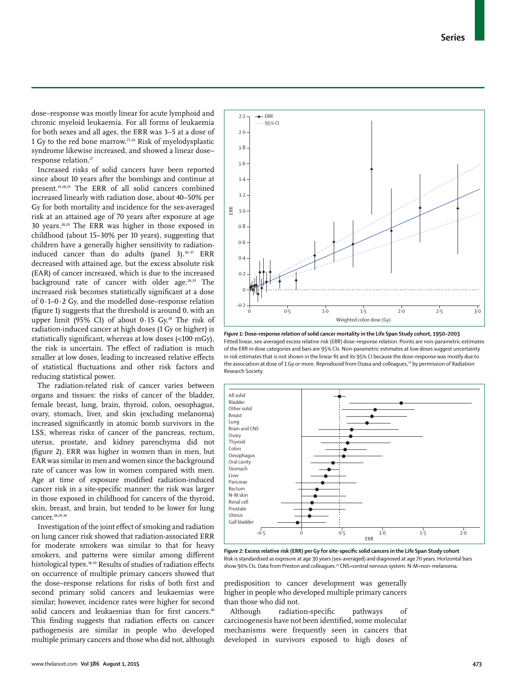www.thelancet.com**Vol 386 August 1, 2015 473**

dose–response was mostly linear for acute lymphoid and chronic myeloid leukaemia. For all forms of leukaemia for both sexes and all ages, the ERR was 3–5 at a dose of 1 Gy to the red bone marrow.25,26 Risk of myelodysplastic syndrome likewise increased, and showed a linear dose– response relation.27

Increased risks of solid cancers have been reported since about 10 years after the bombings and continue at present.19,28,29 The ERR of all solid cancers combined increased linearly with radiation dose, about 40–50% per Gy for both mortality and incidence for the sex-averaged risk at an attained age of 70 years after exposure at age 30 years.28,29 The ERR was higher in those exposed in childhood (about 15–30% per 10 years), suggesting that children have a generally higher sensitivity to radiationinduced cancer than do adults (panel 3).<sup>30-37</sup> ERR decreased with attained age, but the excess absolute risk (EAR) of cancer increased, which is due to the increased background rate of cancer with older age.28,29 The increased risk becomes statistically significant at a dose of 0·1–0·2 Gy, and the modelled dose–response relation (figure 1) suggests that the threshold is around 0, with an upper limit (95% CI) of about  $0.15$  Gy.<sup>28</sup> The risk of radiation-induced cancer at high doses (1 Gy or higher) is statistically significant, whereas at low doses  $\left($ <100 mGy), the risk is uncertain. The effect of radiation is much smaller at low doses, leading to increased relative effects of statistical fluctuations and other risk factors and reducing statistical power.

The radiation-related risk of cancer varies between organs and tissues: the risks of cancer of the bladder, female breast, lung, brain, thyroid, colon, oesophagus, ovary, stomach, liver, and skin (excluding melanoma) increased significantly in atomic bomb survivors in the LSS, whereas risks of cancer of the pancreas, rectum, uterus, prostate, and kidney parenchyma did not (figure 2). ERR was higher in women than in men, but EAR was similar in men and women since the background rate of cancer was low in women compared with men. Age at time of exposure modified radiation-induced cancer risk in a site-specific manner: the risk was larger in those exposed in childhood for cancers of the thyroid, skin, breast, and brain, but tended to be lower for lung cancer.28,29,30

Investigation of the joint effect of smoking and radiation on lung cancer risk showed that radiation-associated ERR for moderate smokers was similar to that for heavy smokers, and patterns were similar among different histological types.<sup>38,39</sup> Results of studies of radiation effects on occurrence of multiple primary cancers showed that the dose–response relations for risks of both first and second primary solid cancers and leukaemias were similar; however, incidence rates were higher for second solid cancers and leukaemias than for first cancers.<sup>40</sup> This finding suggests that radiation effects on cancer pathogenesis are similar in people who developed multiple primary cancers and those who did not, although

*Figure 1:* **Dose–response relation of solid cancer mortality in the Life Span Study cohort, 1950–2003** Fitted linear, sex-averaged excess relative risk (ERR) dose–response relation. Points are non-parametric estimates of the ERR in dose categories and bars are 95% CIs. Non-parametric estimates at low doses suggest uncertainty in risk estimates that is not shown in the linear fit and its 95% CI because the dose-response was mostly due to the association at dose of 1 Gy or more. Reproduced from Ozasa and colleagues,<sup>28</sup> by permission of Radiation Research Society.



ERR

–0·5 0 0·5 1·0 1·5 2·0

predisposition to cancer development was generally higher in people who developed multiple primary cancers than those who did not.

All solid Bladder Other solid Breast Lung Brain and CNS **Ovary** Thyroid Colon Oesophagus Oral cavity Stomach Liver Pancreas Rectum N-M skin Renal cell Prostate Uterus Gall bladder

Although radiation-specific pathways of carcinogenesis have not been identified, some molecular mechanisms were frequently seen in cancers that developed in survivors exposed to high doses of

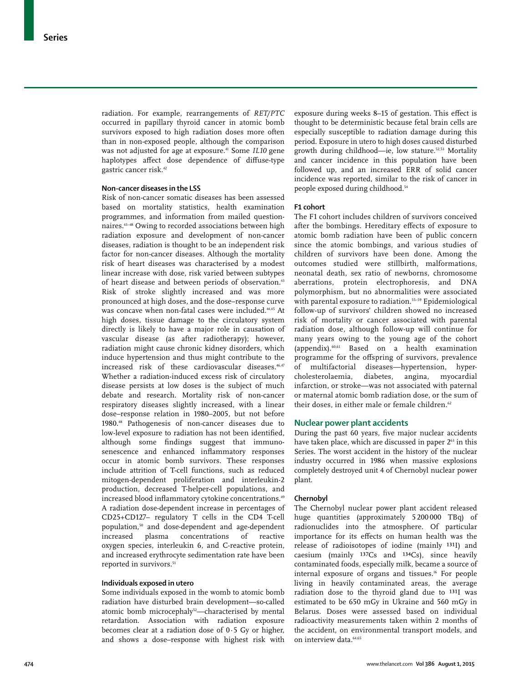radiation. For example, rearrangements of *RET/PTC* occurred in papillary thyroid cancer in atomic bomb survivors exposed to high radiation doses more often than in non-exposed people, although the comparison was not adjusted for age at exposure.<sup>41</sup> Some *IL10* gene haplotypes affect dose dependence of diffuse-type gastric cancer risk.42

# **Non-cancer diseases in the LSS**

Risk of non-cancer somatic diseases has been assessed based on mortality statistics, health examination programmes, and information from mailed questionnaires.43–48 Owing to recorded associations between high radiation exposure and development of non-cancer diseases, radiation is thought to be an independent risk factor for non-cancer diseases. Although the mortality risk of heart diseases was characterised by a modest linear increase with dose, risk varied between subtypes of heart disease and between periods of observation.<sup>43</sup> Risk of stroke slightly increased and was more pronounced at high doses, and the dose–response curve was concave when non-fatal cases were included.<sup>44,45</sup> At high doses, tissue damage to the circulatory system directly is likely to have a major role in causation of vascular disease (as after radiotherapy); however, radiation might cause chronic kidney disorders, which induce hypertension and thus might contribute to the increased risk of these cardiovascular diseases.<sup>46,47</sup> Whether a radiation-induced excess risk of circulatory disease persists at low doses is the subject of much debate and research. Mortality risk of non-cancer respiratory diseases slightly increased, with a linear dose–response relation in 1980–2005, but not before 1980.48 Pathogenesis of non-cancer diseases due to low-level exposure to radiation has not been identified, although some findings suggest that immunosenescence and enhanced inflammatory responses occur in atomic bomb survivors. These responses include attrition of T-cell functions, such as reduced mitogen-dependent proliferation and interleukin-2 production, decreased T-helper-cell populations, and increased blood inflammatory cytokine concentrations.<sup>49</sup> A radiation dose-dependent increase in percentages of CD25+CD127– regulatory T cells in the CD4 T-cell population,50 and dose-dependent and age-dependent increased plasma concentrations of reactive oxygen species, interleukin 6, and C-reactive protein, and increased erythrocyte sedimentation rate have been reported in survivors.<sup>51</sup>

#### **Individuals exposed in utero**

Some individuals exposed in the womb to atomic bomb radiation have disturbed brain development—so-called atomic bomb microcephaly<sup>52</sup>—characterised by mental retardation. Association with radiation exposure becomes clear at a radiation dose of  $0.5$  Gy or higher, and shows a dose–response with highest risk with exposure during weeks 8–15 of gestation. This effect is thought to be deterministic because fetal brain cells are especially susceptible to radiation damage during this period. Exposure in utero to high doses caused disturbed growth during childhood—ie, low stature.<sup>52,53</sup> Mortality and cancer incidence in this population have been followed up, and an increased ERR of solid cancer incidence was reported, similar to the risk of cancer in people exposed during childhood.<sup>54</sup>

#### **F1 cohort**

The F1 cohort includes children of survivors conceived after the bombings. Hereditary effects of exposure to atomic bomb radiation have been of public concern since the atomic bombings, and various studies of children of survivors have been done. Among the outcomes studied were stillbirth, malformations, neonatal death, sex ratio of newborns, chromosome aberrations, protein electrophoresis, and DNA polymorphism, but no abnormalities were associated with parental exposure to radiation.<sup>55-59</sup> Epidemiological follow-up of survivors' children showed no increased risk of mortality or cancer associated with parental radiation dose, although follow-up will continue for many years owing to the young age of the cohort  $(appendix).<sup>60,61</sup>$  Based on a health examination programme for the offspring of survivors, prevalence of multifactorial diseases—hypertension, hyperdiabetes, angina, myocardial infarction, or stroke—was not associated with paternal or maternal atomic bomb radiation dose, or the sum of their doses, in either male or female children.<sup>62</sup>

# **Nuclear power plant accidents**

During the past 60 years, five major nuclear accidents have taken place, which are discussed in paper 2<sup>63</sup> in this Series. The worst accident in the history of the nuclear industry occurred in 1986 when massive explosions completely destroyed unit 4 of Chernobyl nuclear power plant.

# **Chernobyl**

The Chernobyl nuclear power plant accident released huge quantities (approximately 5 200 000 TBq) of radionuclides into the atmosphere. Of particular importance for its effects on human health was the release of radioisotopes of iodine (mainly <sup>131</sup>I) and caesium (mainly  $137Cs$  and  $134Cs$ ), since heavily contaminated foods, especially milk, became a source of internal exposure of organs and tissues.16 For people living in heavily contaminated areas, the average radiation dose to the thyroid gland due to <sup>131</sup>I was estimated to be 650 mGy in Ukraine and 560 mGy in Belarus. Doses were assessed based on individual radioactivity measurements taken within 2 months of the accident, on environmental transport models, and on interview data.64,65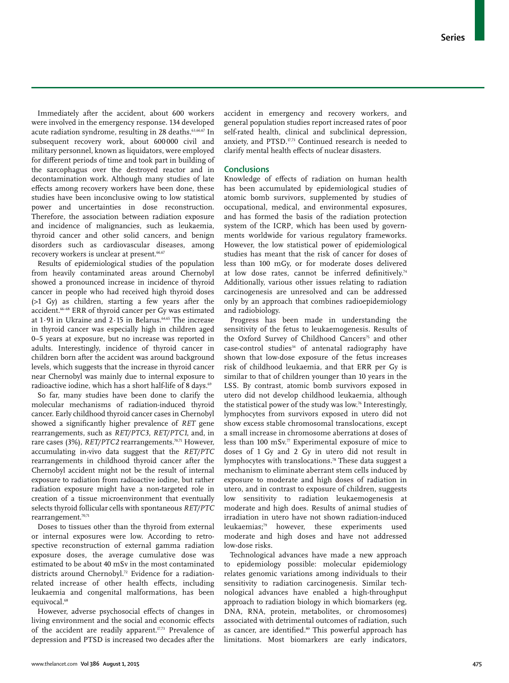Immediately after the accident, about 600 workers were involved in the emergency response. 134 developed acute radiation syndrome, resulting in 28 deaths.<sup>63,66,67</sup> In subsequent recovery work, about 600 000 civil and military personnel, known as liquidators, were employed for different periods of time and took part in building of the sarcophagus over the destroyed reactor and in decontamination work. Although many studies of late effects among recovery workers have been done, these studies have been inconclusive owing to low statistical power and uncertainties in dose reconstruction. Therefore, the association between radiation exposure and incidence of malignancies, such as leukaemia, thyroid cancer and other solid cancers, and benign disorders such as cardiovascular diseases, among recovery workers is unclear at present.<sup>66,67</sup>

Results of epidemiological studies of the population from heavily contaminated areas around Chernobyl showed a pronounced increase in incidence of thyroid cancer in people who had received high thyroid doses (>1 Gy) as children, starting a few years after the accident.66–68 ERR of thyroid cancer per Gy was estimated at  $1.91$  in Ukraine and  $2.15$  in Belarus.<sup>64,65</sup> The increase in thyroid cancer was especially high in children aged 0–5 years at exposure, but no increase was reported in adults. Interestingly, incidence of thyroid cancer in children born after the accident was around background levels, which suggests that the increase in thyroid cancer near Chernobyl was mainly due to internal exposure to radioactive iodine, which has a short half-life of 8 days.<sup>69</sup>

So far, many studies have been done to clarify the molecular mechanisms of radiation-induced thyroid cancer. Early childhood thyroid cancer cases in Chernobyl showed a significantly higher prevalence of *RET* gene rearrangements, such as *RET/PTC3*, *RET/PTC1*, and, in rare cases (3%), *RET/PTC2* rearrangements.<sup>70,71</sup> However, accumulating in-vivo data suggest that the *RET/PTC* rearrangements in childhood thyroid cancer after the Chernobyl accident might not be the result of internal exposure to radiation from radioactive iodine, but rather radiation exposure might have a non-targeted role in creation of a tissue microenvironment that eventually selects thyroid follicular cells with spontaneous *RET/PTC* rearrangement.70,71

Doses to tissues other than the thyroid from external or internal exposures were low. According to retrospective reconstruction of external gamma radiation exposure doses, the average cumulative dose was estimated to be about 40 mSv in the most contaminated districts around Chernobyl.<sup>72</sup> Evidence for a radiationrelated increase of other health effects, including leukaemia and congenital malformations, has been equivocal.<sup>68</sup>

However, adverse psychosocial effects of changes in living environment and the social and economic effects of the accident are readily apparent.<sup>17,73</sup> Prevalence of depression and PTSD is increased two decades after the accident in emergency and recovery workers, and general population studies report increased rates of poor self-rated health, clinical and subclinical depression, anxiety, and PTSD.17,73 Continued research is needed to clarify mental health effects of nuclear disasters.

# **Conclusions**

Knowledge of effects of radiation on human health has been accumulated by epidemiological studies of atomic bomb survivors, supplemented by studies of occupational, medical, and environmental exposures, and has formed the basis of the radiation protection system of the ICRP, which has been used by governments worldwide for various regulatory frameworks. However, the low statistical power of epidemiological studies has meant that the risk of cancer for doses of less than 100 mGy, or for moderate doses delivered at low dose rates, cannot be inferred definitively.<sup>74</sup> Additionally, various other issues relating to radiation carcinogenesis are unresolved and can be addressed only by an approach that combines radioepidemiology and radiobiology.

Progress has been made in understanding the sensitivity of the fetus to leukaemogenesis. Results of the Oxford Survey of Childhood Cancers<sup>75</sup> and other  $case-control$  studies $34$  of antenatal radiography have shown that low-dose exposure of the fetus increases risk of childhood leukaemia, and that ERR per Gy is similar to that of children younger than 10 years in the LSS. By contrast, atomic bomb survivors exposed in utero did not develop childhood leukaemia, although the statistical power of the study was low.<sup>76</sup> Interestingly, lymphocytes from survivors exposed in utero did not show excess stable chromosomal translocations, except a small increase in chromosome aberrations at doses of less than 100 mSv. $\pi$  Experimental exposure of mice to doses of 1 Gy and 2 Gy in utero did not result in lymphocytes with translocations.<sup>78</sup> These data suggest a mechanism to eliminate aberrant stem cells induced by exposure to moderate and high doses of radiation in utero, and in contrast to exposure of children, suggests low sensitivity to radiation leukaemogenesis at moderate and high does. Results of animal studies of irradiation in utero have not shown radiation-induced leukaemias;79 however, these experiments used moderate and high doses and have not addressed low-dose risks.

Technological advances have made a new approach to epidemiology possible: molecular epidemiology relates genomic variations among individuals to their sensitivity to radiation carcinogenesis. Similar technological advances have enabled a high-throughput approach to radiation biology in which biomarkers (eg, DNA, RNA, protein, metabolites, or chromosomes) associated with detrimental outcomes of radiation, such as cancer, are identified.<sup>80</sup> This powerful approach has limitations. Most biomarkers are early indicators,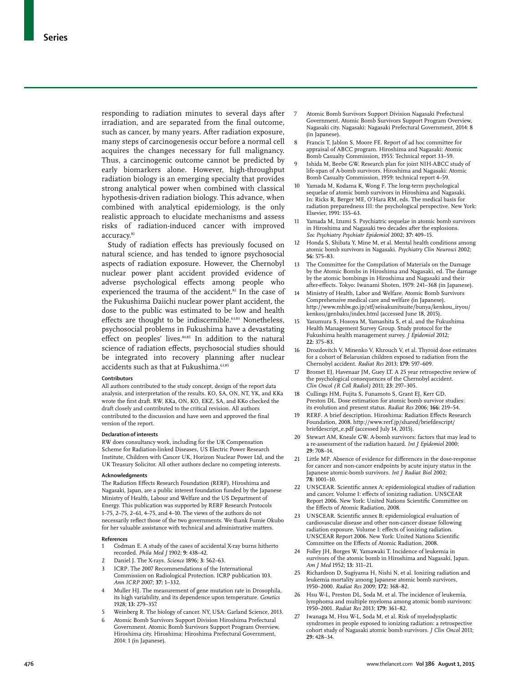responding to radiation minutes to several days after irradiation, and are separated from the final outcome, such as cancer, by many years. After radiation exposure, many steps of carcinogenesis occur before a normal cell acquires the changes necessary for full malignancy. Thus, a carcinogenic outcome cannot be predicted by early biomarkers alone. However, high-throughput radiation biology is an emerging specialty that provides strong analytical power when combined with classical hypothesis-driven radiation biology. This advance, when combined with analytical epidemiology, is the only realistic approach to elucidate mechanisms and assess risks of radiation-induced cancer with improved accuracy.<sup>81</sup>

Study of radiation effects has previously focused on natural science, and has tended to ignore psychosocial aspects of radiation exposure. However, the Chernobyl nuclear power plant accident provided evidence of adverse psychological effects among people who experienced the trauma of the accident.<sup>82</sup> In the case of the Fukushima Daiichi nuclear power plant accident, the dose to the public was estimated to be low and health effects are thought to be indiscernible.<sup>63,83</sup> Nonetheless, psychosocial problems in Fukushima have a devastating effect on peoples' lives.<sup>84,85</sup> In addition to the natural science of radiation effects, psychosocial studies should be integrated into recovery planning after nuclear accidents such as that at Fukushima.<sup>63,85</sup>

#### **Contributors**

All authors contributed to the study concept, design of the report data analysis, and interpretation of the results. KO, SA, ON, NT, YK, and KKa wrote the first draft. RW, KKa, ON, KO, EKZ, SA, and KKo checked the draft closely and contributed to the critical revision. All authors contributed to the discussion and have seen and approved the final version of the report.

#### **Declaration of interests**

RW does consultancy work, including for the UK Compensation Scheme for Radiation-linked Diseases, US Electric Power Research Institute, Children with Cancer UK, Horizon Nuclear Power Ltd, and the UK Treasury Solicitor. All other authors declare no competing interests.

#### **Acknowledgments**

The Radiation Effects Research Foundation (RERF), Hiroshima and Nagasaki, Japan, are a public interest foundation funded by the Japanese Ministry of Health, Labour and Welfare and the US Department of Energy. This publication was supported by RERF Research Protocols 1–75,  $2-75$ ,  $2-61$ ,  $4-75$ , and  $4-10$ . The views of the authors do not necessarily reflect those of the two governments. We thank Fumie Okubo for her valuable assistance with technical and administrative matters.

#### **References**

- Codman E. A study of the cases of accidental X-ray burns hitherto recorded. *Phila Med J* 1902; **9:** 438–42.
- 2 Daniel J. The X-rays. *Science* 1896; **3:** 562–63.
- ICRP. The 2007 Recommendations of the International Commission on Radiological Protection. ICRP publication 103. *Ann ICRP* 2007; **37:** 1–332.
- 4 Muller HJ. The measurement of gene mutation rate in Drosophila, its high variability, and its dependence upon temperature. *Genetics* 1928; **13:** 279–357.
- 5 Weinberg R. The biology of cancer. NY, USA: Garland Science, 2013.
- 6 Atomic Bomb Survivors Support Division Hiroshima Prefectural Government. Atomic Bomb Survivors Support Program Overview, Hiroshima city. Hiroshima: Hiroshima Prefectural Government, 2014: 1 (in Japanese).
- 7 Atomic Bomb Survivors Support Division Nagasaki Prefectural Government. Atomic Bomb Survivors Support Program Overview, Nagasaki city. Nagasaki: Nagasaki Prefectural Government, 2014: 8 (in Japanese).
- 8 Francis T, Jablon S, Moore FE. Report of ad hoc committee for appraisal of ABCC program. Hiroshima and Nagasaki: Atomic Bomb Casualty Commission, 1955: Technical report 33–59.
- Ishida M, Beebe GW. Research plan for joint NIH-ABCC study of life-span of A-bomb survivors. Hiroshima and Nagasaki: Atomic Bomb Casualty Commission, 1959: technical report 4–59.
- 10 Yamada M, Kodama K, Wong F. The long-term psychological sequelae of atomic bomb survivors in Hiroshima and Nagasaki. In: Ricks R, Berger ME, O'Hara RM, eds. The medical basis for radiation preparedness III: the psychological perspective. New York: Elsevier, 1991: 155–63.
- Yamada M, Izumi S. Psychiatric sequelae in atomic bomb survivors in Hiroshima and Nagasaki two decades after the explosions. *Soc Psychiatry Psychiatr Epidemiol* 2002; **37:** 409–15.
- 12 Honda S, Shibata Y, Mine M, et al. Mental health conditions among atomic bomb survivors in Nagasaki. *Psychiatry Clin Neurosci* 2002; **56:** 575–83.
- 13 The Committee for the Compilation of Materials on the Damage by the Atomic Bombs in Hiroshima and Nagasaki, ed. The damage by the atomic bombings in Hiroshima and Nagasaki and their after-effects. Tokyo: Iwanami Shoten, 1979: 241-368 (in Japanese).
- 14 Ministry of Health, Labor and Welfare. Atomic Bomb Survivors Comprehensive medical care and welfare (in Japanese). http://www.mhlw.go.jp/stf/seisakunitsuite/bunya/kenkou\_iryou/ kenkou/genbaku/index.html (accessed June 18, 2015).
- 15 Yasumura S, Hosoya M, Yamashita S, et al, and the Fukushima Health Management Survey Group. Study protocol for the Fukushima health management survey. *J Epidemiol* 2012; **22:** 375–83.
- 16 Drozdovitch V, Minenko V, Khrouch V, et al. Thyroid dose estimates for a cohort of Belarusian children exposed to radiation from the Chernobyl accident. *Radiat Res* 2013; **179:** 597–609.
- 17 Bromet EJ, Havenaar JM, Guey LT. A 25 year retrospective review of the psychological consequences of the Chernobyl accident. *Clin Oncol (R Coll Radiol)* 2011; **23:** 297–305.
- 18 Cullings HM, Fujita S, Funamoto S, Grant EJ, Kerr GD, Preston DL. Dose estimation for atomic bomb survivor studies: its evolution and present status. *Radiat Res* 2006; **166:** 219–54.
- 19 RERF. A brief description. Hiroshima: Radiation Effects Research Foundation, 2008. http://www.rerf.jp/shared/briefdescript/ briefdescript\_e.pdf (accessed July 14, 2015).
- 20 Stewart AM, Kneale GW. A-bomb survivors: factors that may lead to a re-assessment of the radiation hazard. *Int J Epidemiol* 2000; **29:** 708–14.
- 21 Little MP. Absence of evidence for differences in the dose-response for cancer and non-cancer endpoints by acute injury status in the Japanese atomic-bomb survivors. *Int J Radiat Biol* 2002; **78:** 1001–10.
- 22 UNSCEAR. Scientific annex A: epidemiological studies of radiation and cancer. Volume I: effects of ionizing radiation. UNSCEAR Report 2006. New York: United Nations Scientific Committee on the Effects of Atomic Radiation, 2008.
- 23 UNSCEAR. Scientific annex B: epidemiological evaluation of cardiovascular disease and other non-cancer disease following radiation exposure. Volume I: effects of ionizing radiation. UNSCEAR Report 2006. New York: United Nations Scientific Committee on the Effects of Atomic Radiation, 2008.
- 24 Folley JH, Borges W, Yamawaki T. Incidence of leukemia in survivors of the atomic bomb in Hiroshima and Nagasaki, Japan. *Am J Med* 1952; **13:** 311–21.
- 25 Richardson D, Sugiyama H, Nishi N, et al. Ionizing radiation and leukemia mortality among Japanese atomic bomb survivors, 1950–2000. *Radiat Res* 2009; **172:** 368–82.
- 26 Hsu W-L, Preston DL, Soda M, et al. The incidence of leukemia, lymphoma and multiple myeloma among atomic bomb survivors: 1950–2001. *Radiat Res* 2013; **179:** 361–82.
- 27 Iwanaga M, Hsu W-L, Soda M, et al. Risk of myelodysplastic syndromes in people exposed to ionizing radiation: a retrospective cohort study of Nagasaki atomic bomb survivors. *J Clin Oncol* 2011; **29:** 428–34.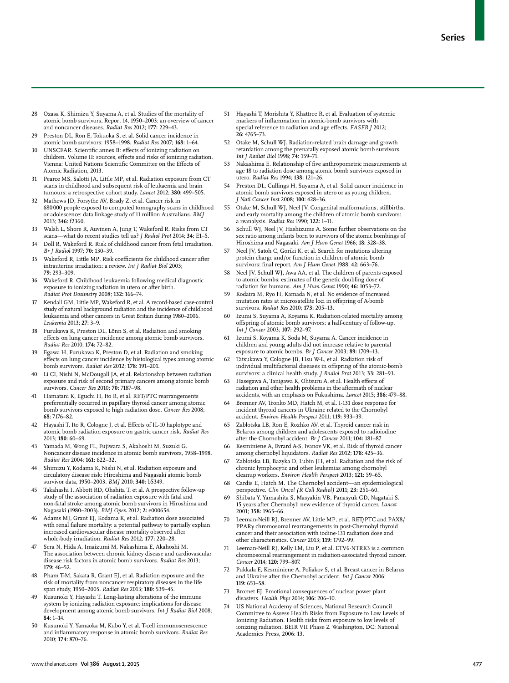- 28 Ozasa K, Shimizu Y, Suyama A, et al. Studies of the mortality of atomic bomb survivors, Report 14, 1950–2003: an overview of cancer and noncancer diseases. *Radiat Res* 2012; **177:** 229–43.
- 29 Preston DL, Ron E, Tokuoka S, et al. Solid cancer incidence in atomic bomb survivors: 1958–1998. *Radiat Res* 2007; **168:** 1–64.
- UNSCEAR. Scientific annex B: effects of ionizing radiation on children. Volume II: sources, effects and risks of ionizing radiation. Vienna: United Nations Scientific Committee on the Effects of Atomic Radiation, 2013.
- 31 Pearce MS, Salotti JA, Little MP, et al. Radiation exposure from CT scans in childhood and subsequent risk of leukaemia and brain tumours: a retrospective cohort study. *Lancet* 2012; **380:** 499–505.
- 32 Mathews JD, Forsythe AV, Brady Z, et al. Cancer risk in 680 000 people exposed to computed tomography scans in childhood or adolescence: data linkage study of 11 million Australians. *BMJ* 2013; **346:** f2360.
- 33 Walsh L, Shore R, Auvinen A, Jung T, Wakeford R. Risks from CT scans—what do recent studies tell us? *J Radiol Prot* 2014; **34:** E1–5.
- 34 Doll R, Wakeford R. Risk of childhood cancer from fetal irradiation. *Br J Radiol* 1997; **70:** 130–39.
- 35 Wakeford R, Little MP. Risk coefficients for childhood cancer after intrauterine irradiation: a review. *Int J Radiat Biol* 2003; **79:** 293–309.
- 36 Wakeford R. Childhood leukaemia following medical diagnostic exposure to ionizing radiation in utero or after birth. *Radiat Prot Dosimetry* 2008; **132:** 166–74.
- 37 Kendall GM, Little MP, Wakeford R, et al. A record-based case-control study of natural background radiation and the incidence of childhood leukaemia and other cancers in Great Britain during 1980–2006. *Leukemia* 2013; **27:** 3–9.
- 38 Furukawa K, Preston DL, Lönn S, et al. Radiation and smoking effects on lung cancer incidence among atomic bomb survivors. *Radiat Res* 2010; **174:** 72–82.
- Egawa H, Furukawa K, Preston D, et al. Radiation and smoking effects on lung cancer incidence by histological types among atomic bomb survivors. *Radiat Res* 2012; **178:** 191–201.
- 40 Li CI, Nishi N, McDougall JA, et al. Relationship between radiation exposure and risk of second primary cancers among atomic bomb survivors. *Cancer Res* 2010; **70:** 7187–98.
- Hamatani K, Eguchi H, Ito R, et al. RET/PTC rearrangements preferentially occurred in papillary thyroid cancer among atomic bomb survivors exposed to high radiation dose. *Cancer Res* 2008; **68:** 7176–82.
- Hayashi T, Ito R, Cologne J, et al. Effects of IL-10 haplotype and atomic bomb radiation exposure on gastric cancer risk. *Radiat Res* 2013; **180:** 60–69.
- 43 Yamada M, Wong FL, Fujiwara S, Akahoshi M, Suzuki G. Noncancer disease incidence in atomic bomb survivors, 1958–1998. *Radiat Res* 2004; **161:** 622–32.
- Shimizu Y, Kodama K, Nishi N, et al. Radiation exposure and circulatory disease risk: Hiroshima and Nagasaki atomic bomb survivor data, 1950–2003. *BMJ* 2010; **340:** b5349.
- 45 Takahashi I, Abbott RD, Ohshita T, et al. A prospective follow-up study of the association of radiation exposure with fatal and non-fatal stroke among atomic bomb survivors in Hiroshima and Nagasaki (1980–2003). *BMJ Open* 2012; **2:** e000654.
- Adams MJ, Grant EJ, Kodama K, et al. Radiation dose associated with renal failure mortality: a potential pathway to partially explain increased cardiovascular disease mortality observed after whole-body irradiation. *Radiat Res* 2012; **177:** 220–28.
- 47 Sera N, Hida A, Imaizumi M, Nakashima E, Akahoshi M. The association between chronic kidney disease and cardiovascular disease risk factors in atomic bomb survivors. *Radiat Res* 2013; **179:** 46–52.
- 48 Pham T-M, Sakata R, Grant EJ, et al. Radiation exposure and the risk of mortality from noncancer respiratory diseases in the life span study, 1950–2005. *Radiat Res* 2013; **180:** 539–45.
- 49 Kusunoki Y, Hayashi T. Long-lasting alterations of the immune system by ionizing radiation exposure: implications for disease development among atomic bomb survivors. *Int J Radiat Biol* 2008; **84:** 1–14.
- 50 Kusunoki Y, Yamaoka M, Kubo Y, et al. T-cell immunosenescence and inflammatory response in atomic bomb survivors. *Radiat Res* 2010; **174:** 870–76.
- 51 Hayashi T, Morishita Y, Khattree R, et al. Evaluation of systemic markers of inflammation in atomic-bomb survivors with special reference to radiation and age effects. **FASEB** J 2012; **26:** 4765–73.
- 52 Otake M, Schull WJ. Radiation-related brain damage and growth retardation among the prenatally exposed atomic bomb survivors. *Int J Radiat Biol* 1998; **74:** 159–71.
- Nakashima E. Relationship of five anthropometric measurements at age 18 to radiation dose among atomic bomb survivors exposed in utero. *Radiat Res* 1994; **138:** 121–26.
- 54 Preston DL, Cullings H, Suyama A, et al. Solid cancer incidence in atomic bomb survivors exposed in utero or as young children. *J Natl Cancer Inst* 2008; **100:** 428–36.
- 55 Otake M, Schull WJ, Neel JV. Congenital malformations, stillbirths, and early mortality among the children of atomic bomb survivors: a reanalysis. *Radiat Res* 1990; **122:** 1–11.
- 56 Schull WJ, Neel JV, Hashizume A. Some further observations on the sex ratio among infants born to survivors of the atomic bombings of Hiroshima and Nagasaki. *Am J Hum Genet* 1966; **18:** 328–38.
- 57 Neel JV, Satoh C, Goriki K, et al. Search for mutations altering protein charge and/or function in children of atomic bomb survivors: final report. Am J Hum Genet 1988; 42: 663-76.
- Neel JV, Schull WJ, Awa AA, et al. The children of parents exposed to atomic bombs: estimates of the genetic doubling dose of radiation for humans. *Am J Hum Genet* 1990; **46:** 1053–72.
- 59 Kodaira M, Ryo H, Kamada N, et al. No evidence of increased mutation rates at microsatellite loci in offspring of A-bomb survivors. *Radiat Res* 2010; **173:** 205–13.
- 60 Izumi S, Suyama A, Koyama K. Radiation-related mortality among offspring of atomic bomb survivors: a half-century of follow-up. *Int J Cancer* 2003; **107:** 292–97.
- 61 Izumi S, Koyama K, Soda M, Suyama A. Cancer incidence in children and young adults did not increase relative to parental exposure to atomic bombs. *Br J Cancer* 2003; **89:** 1709–13.
- Tatsukawa Y, Cologne JB, Hsu W-L, et al. Radiation risk of individual multifactorial diseases in offspring of the atomic-bomb survivors: a clinical health study. *J Radiol Prot* 2013; **33:** 281–93.
- 63 Hasegawa A, Tanigawa K, Ohtsuru A, et al. Health effects of radiation and other health problems in the aftermath of nuclear accidents, with an emphasis on Fukushima. *Lancet* 2015; **386:** 479–88.
- Brenner AV, Tronko MD, Hatch M, et al. I-131 dose response for incident thyroid cancers in Ukraine related to the Chornobyl accident. *Environ Health Perspect* 2011; **119:** 933–39.
- Zablotska LB, Ron E, Rozhko AV, et al. Thyroid cancer risk in Belarus among children and adolescents exposed to radioiodine after the Chornobyl accident. *Br J Cancer* 2011; **104:** 181–87.
- 66 Kesminiene A, Evrard A-S, Ivanov VK, et al. Risk of thyroid cancer among chernobyl liquidators. *Radiat Res* 2012; **178:** 425–36.
- 67 Zablotska LB, Bazyka D, Lubin JH, et al. Radiation and the risk of chronic lymphocytic and other leukemias among chornobyl cleanup workers. *Environ Health Perspect* 2013; **121:** 59–65.
- 68 Cardis E, Hatch M. The Chernobyl accident—an epidemiological perspective. *Clin Oncol (R Coll Radiol)* 2011; **23:** 251–60.
- 69 Shibata Y, Yamashita S, Masyakin VB, Panasyuk GD, Nagataki S. 15 years after Chernobyl: new evidence of thyroid cancer. *Lancet* 2001; **358:** 1965–66.
- 70 Leeman-Neill RJ, Brenner AV, Little MP, et al. RET/PTC and PAX8/ PPARγ chromosomal rearrangements in post-Chernobyl thyroid cancer and their association with iodine-131 radiation dose and other characteristics. *Cancer* 2013; **119:** 1792–99.
- Leeman-Neill RJ, Kelly LM, Liu P, et al. ETV6-NTRK3 is a common chromosomal rearrangement in radiation-associated thyroid cancer. *Cancer* 2014; **120:** 799–807.
- 72 Pukkala E, Kesminiene A, Poliakov S, et al. Breast cancer in Belarus and Ukraine after the Chernobyl accident. *Int J Cancer* 2006; **119:** 651–58.
- 73 Bromet EJ. Emotional consequences of nuclear power plant disasters. *Health Phys* 2014; **106:** 206–10.
- US National Academy of Sciences, National Research Council Committee to Assess Health Risks from Exposure to Low Levels of Ionizing Radiation. Health risks from exposure to low levels of ionizing radiation. BEIR VII Phase 2. Washington, DC: National Academies Press, 2006: 13.